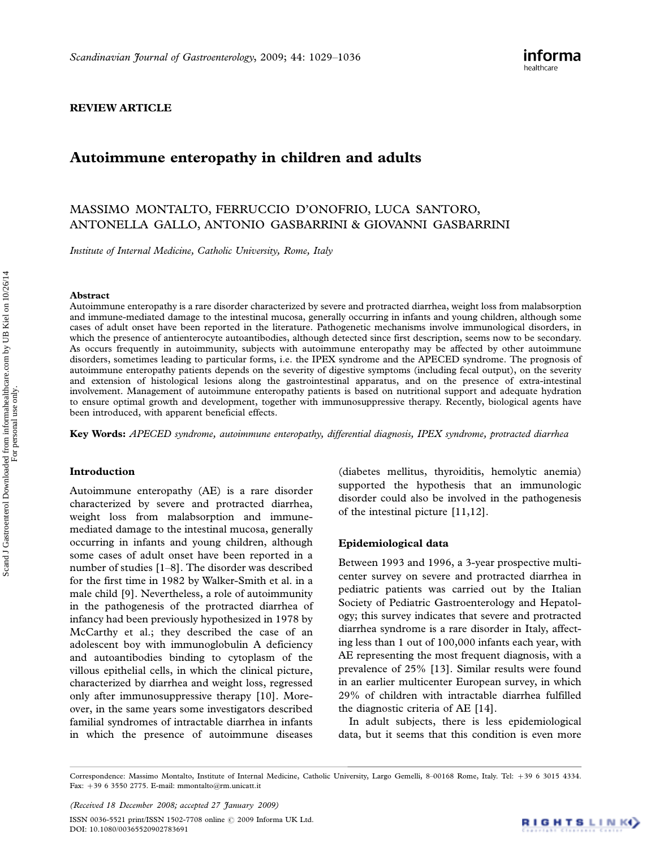# REVIEW ARTICLE

# Autoimmune enteropathy in children and adults

# MASSIMO MONTALTO, FERRUCCIO D'ONOFRIO, LUCA SANTORO, ANTONELLA GALLO, ANTONIO GASBARRINI & GIOVANNI GASBARRINI

Institute of Internal Medicine, Catholic University, Rome, Italy

#### Abstract

Autoimmune enteropathy is a rare disorder characterized by severe and protracted diarrhea, weight loss from malabsorption and immune-mediated damage to the intestinal mucosa, generally occurring in infants and young children, although some cases of adult onset have been reported in the literature. Pathogenetic mechanisms involve immunological disorders, in which the presence of antienterocyte autoantibodies, although detected since first description, seems now to be secondary. As occurs frequently in autoimmunity, subjects with autoimmune enteropathy may be affected by other autoimmune disorders, sometimes leading to particular forms, i.e. the IPEX syndrome and the APECED syndrome. The prognosis of autoimmune enteropathy patients depends on the severity of digestive symptoms (including fecal output), on the severity and extension of histological lesions along the gastrointestinal apparatus, and on the presence of extra-intestinal involvement. Management of autoimmune enteropathy patients is based on nutritional support and adequate hydration to ensure optimal growth and development, together with immunosuppressive therapy. Recently, biological agents have been introduced, with apparent beneficial effects.

Key Words: APECED syndrome, autoimmune enteropathy, differential diagnosis, IPEX syndrome, protracted diarrhea

## Introduction

Autoimmune enteropathy (AE) is a rare disorder characterized by severe and protracted diarrhea, weight loss from malabsorption and immunemediated damage to the intestinal mucosa, generally occurring in infants and young children, although some cases of adult onset have been reported in a number of studies  $[1-8]$ . The disorder was described for the first time in 1982 by Walker-Smith et al. in a male child [9]. Nevertheless, a role of autoimmunity in the pathogenesis of the protracted diarrhea of infancy had been previously hypothesized in 1978 by McCarthy et al.; they described the case of an adolescent boy with immunoglobulin A deficiency and autoantibodies binding to cytoplasm of the villous epithelial cells, in which the clinical picture, characterized by diarrhea and weight loss, regressed only after immunosuppressive therapy [10]. Moreover, in the same years some investigators described familial syndromes of intractable diarrhea in infants in which the presence of autoimmune diseases (diabetes mellitus, thyroiditis, hemolytic anemia) supported the hypothesis that an immunologic disorder could also be involved in the pathogenesis of the intestinal picture [11,12].

### Epidemiological data

Between 1993 and 1996, a 3-year prospective multicenter survey on severe and protracted diarrhea in pediatric patients was carried out by the Italian Society of Pediatric Gastroenterology and Hepatology; this survey indicates that severe and protracted diarrhea syndrome is a rare disorder in Italy, affecting less than 1 out of 100,000 infants each year, with AE representing the most frequent diagnosis, with a prevalence of 25% [13]. Similar results were found in an earlier multicenter European survey, in which 29% of children with intractable diarrhea fulfilled the diagnostic criteria of AE [14].

In adult subjects, there is less epidemiological data, but it seems that this condition is even more

DOI: 10.1080/00365520902783691

Correspondence: Massimo Montalto, Institute of Internal Medicine, Catholic University, Largo Gemelli, 8-00168 Rome, Italy. Tel: +39 6 3015 4334. Fax: +39 6 3550 2775. E-mail: mmontalto@rm.unicatt.it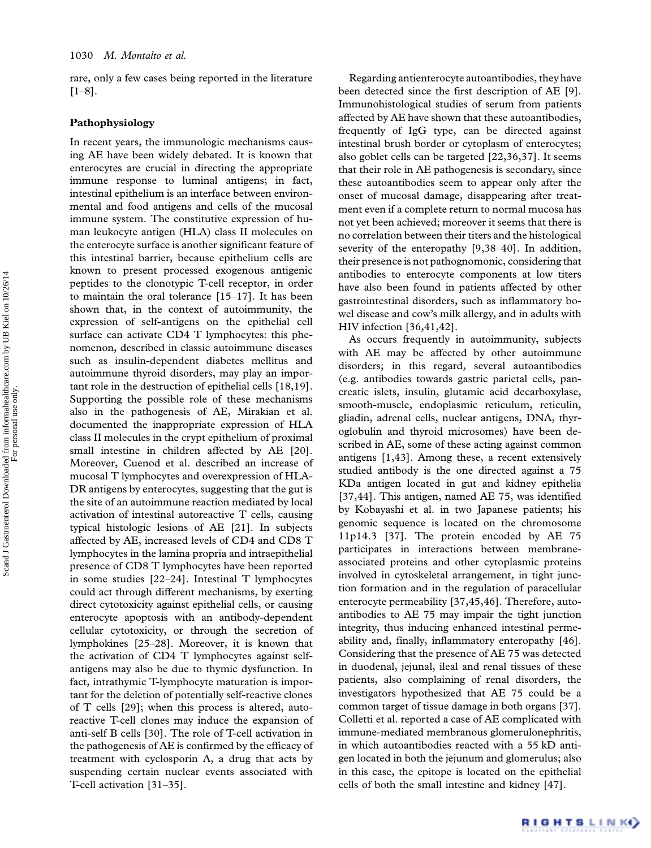rare, only a few cases being reported in the literature  $[1-8]$ .

### Pathophysiology

In recent years, the immunologic mechanisms causing AE have been widely debated. It is known that enterocytes are crucial in directing the appropriate immune response to luminal antigens; in fact, intestinal epithelium is an interface between environmental and food antigens and cells of the mucosal immune system. The constitutive expression of human leukocyte antigen (HLA) class II molecules on the enterocyte surface is another significant feature of this intestinal barrier, because epithelium cells are known to present processed exogenous antigenic peptides to the clonotypic T-cell receptor, in order to maintain the oral tolerance  $[15-17]$ . It has been shown that, in the context of autoimmunity, the expression of self-antigens on the epithelial cell surface can activate CD4 T lymphocytes: this phenomenon, described in classic autoimmune diseases such as insulin-dependent diabetes mellitus and autoimmune thyroid disorders, may play an important role in the destruction of epithelial cells [18,19]. Supporting the possible role of these mechanisms also in the pathogenesis of AE, Mirakian et al. documented the inappropriate expression of HLA class II molecules in the crypt epithelium of proximal small intestine in children affected by AE [20]. Moreover, Cuenod et al. described an increase of mucosal T lymphocytes and overexpression of HLA-DR antigens by enterocytes, suggesting that the gut is the site of an autoimmune reaction mediated by local activation of intestinal autoreactive T cells, causing typical histologic lesions of AE [21]. In subjects affected by AE, increased levels of CD4 and CD8 T lymphocytes in the lamina propria and intraepithelial presence of CD8 T lymphocytes have been reported in some studies  $[22-24]$ . Intestinal T lymphocytes could act through different mechanisms, by exerting direct cytotoxicity against epithelial cells, or causing enterocyte apoptosis with an antibody-dependent cellular cytotoxicity, or through the secretion of lymphokines [25–28]. Moreover, it is known that the activation of CD4 T lymphocytes against selfantigens may also be due to thymic dysfunction. In fact, intrathymic T-lymphocyte maturation is important for the deletion of potentially self-reactive clones of T cells [29]; when this process is altered, autoreactive T-cell clones may induce the expansion of anti-self B cells [30]. The role of T-cell activation in the pathogenesis of AE is confirmed by the efficacy of treatment with cyclosporin A, a drug that acts by suspending certain nuclear events associated with T-cell activation [31-35].

Regarding antienterocyte autoantibodies, they have been detected since the first description of AE [9]. Immunohistological studies of serum from patients affected by AE have shown that these autoantibodies, frequently of IgG type, can be directed against intestinal brush border or cytoplasm of enterocytes; also goblet cells can be targeted [22,36,37]. It seems that their role in AE pathogenesis is secondary, since these autoantibodies seem to appear only after the onset of mucosal damage, disappearing after treatment even if a complete return to normal mucosa has not yet been achieved; moreover it seems that there is no correlation between their titers and the histological severity of the enteropathy  $[9,38-40]$ . In addition, their presence is not pathognomonic, considering that antibodies to enterocyte components at low titers have also been found in patients affected by other gastrointestinal disorders, such as inflammatory bowel disease and cow's milk allergy, and in adults with HIV infection [36,41,42].

As occurs frequently in autoimmunity, subjects with AE may be affected by other autoimmune disorders; in this regard, several autoantibodies (e.g. antibodies towards gastric parietal cells, pancreatic islets, insulin, glutamic acid decarboxylase, smooth-muscle, endoplasmic reticulum, reticulin, gliadin, adrenal cells, nuclear antigens, DNA, thyroglobulin and thyroid microsomes) have been described in AE, some of these acting against common antigens [1,43]. Among these, a recent extensively studied antibody is the one directed against a 75 KDa antigen located in gut and kidney epithelia [37,44]. This antigen, named AE 75, was identified by Kobayashi et al. in two Japanese patients; his genomic sequence is located on the chromosome 11p14.3 [37]. The protein encoded by AE 75 participates in interactions between membraneassociated proteins and other cytoplasmic proteins involved in cytoskeletal arrangement, in tight junction formation and in the regulation of paracellular enterocyte permeability [37,45,46]. Therefore, autoantibodies to AE 75 may impair the tight junction integrity, thus inducing enhanced intestinal permeability and, finally, inflammatory enteropathy [46]. Considering that the presence of AE 75 was detected in duodenal, jejunal, ileal and renal tissues of these patients, also complaining of renal disorders, the investigators hypothesized that AE 75 could be a common target of tissue damage in both organs [37]. Colletti et al. reported a case of AE complicated with immune-mediated membranous glomerulonephritis, in which autoantibodies reacted with a 55 kD antigen located in both the jejunum and glomerulus; also in this case, the epitope is located on the epithelial cells of both the small intestine and kidney [47].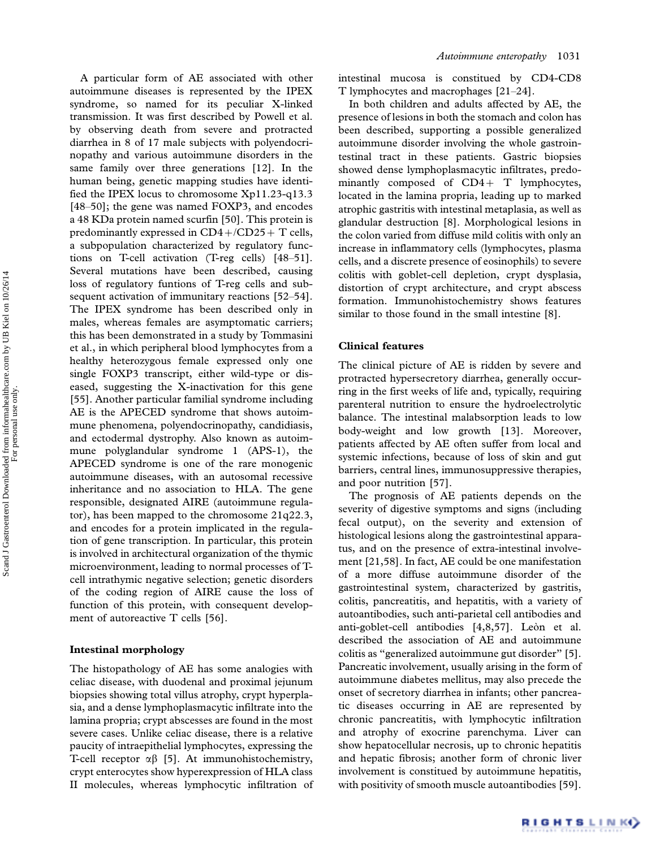A particular form of AE associated with other autoimmune diseases is represented by the IPEX syndrome, so named for its peculiar X-linked transmission. It was first described by Powell et al. by observing death from severe and protracted diarrhea in 8 of 17 male subjects with polyendocrinopathy and various autoimmune disorders in the same family over three generations [12]. In the human being, genetic mapping studies have identified the IPEX locus to chromosome Xp11.23-q13.3 [48-50]; the gene was named FOXP3, and encodes a 48 KDa protein named scurfin [50]. This protein is predominantly expressed in  $CD4 + /CD25 + T$  cells, a subpopulation characterized by regulatory functions on T-cell activation (T-reg cells)  $[48-51]$ . Several mutations have been described, causing loss of regulatory funtions of T-reg cells and subsequent activation of immunitary reactions  $[52-54]$ . The IPEX syndrome has been described only in males, whereas females are asymptomatic carriers; this has been demonstrated in a study by Tommasini et al., in which peripheral blood lymphocytes from a healthy heterozygous female expressed only one single FOXP3 transcript, either wild-type or diseased, suggesting the X-inactivation for this gene [55]. Another particular familial syndrome including AE is the APECED syndrome that shows autoimmune phenomena, polyendocrinopathy, candidiasis, and ectodermal dystrophy. Also known as autoimmune polyglandular syndrome 1 (APS-1), the APECED syndrome is one of the rare monogenic autoimmune diseases, with an autosomal recessive inheritance and no association to HLA. The gene responsible, designated AIRE (autoimmune regulator), has been mapped to the chromosome 21q22.3, and encodes for a protein implicated in the regulation of gene transcription. In particular, this protein is involved in architectural organization of the thymic microenvironment, leading to normal processes of Tcell intrathymic negative selection; genetic disorders of the coding region of AIRE cause the loss of function of this protein, with consequent development of autoreactive T cells [56].

## Intestinal morphology

The histopathology of AE has some analogies with celiac disease, with duodenal and proximal jejunum biopsies showing total villus atrophy, crypt hyperplasia, and a dense lymphoplasmacytic infiltrate into the lamina propria; crypt abscesses are found in the most severe cases. Unlike celiac disease, there is a relative paucity of intraepithelial lymphocytes, expressing the T-cell receptor  $\alpha\beta$  [5]. At immunohistochemistry, crypt enterocytes show hyperexpression of HLA class II molecules, whereas lymphocytic infiltration of intestinal mucosa is constitued by CD4-CD8 T lymphocytes and macrophages  $[21-24]$ .

In both children and adults affected by AE, the presence of lesions in both the stomach and colon has been described, supporting a possible generalized autoimmune disorder involving the whole gastrointestinal tract in these patients. Gastric biopsies showed dense lymphoplasmacytic infiltrates, predominantly composed of CD4+ T lymphocytes, located in the lamina propria, leading up to marked atrophic gastritis with intestinal metaplasia, as well as glandular destruction [8]. Morphological lesions in the colon varied from diffuse mild colitis with only an increase in inflammatory cells (lymphocytes, plasma cells, and a discrete presence of eosinophils) to severe colitis with goblet-cell depletion, crypt dysplasia, distortion of crypt architecture, and crypt abscess formation. Immunohistochemistry shows features similar to those found in the small intestine [8].

# Clinical features

The clinical picture of AE is ridden by severe and protracted hypersecretory diarrhea, generally occurring in the first weeks of life and, typically, requiring parenteral nutrition to ensure the hydroelectrolytic balance. The intestinal malabsorption leads to low body-weight and low growth [13]. Moreover, patients affected by AE often suffer from local and systemic infections, because of loss of skin and gut barriers, central lines, immunosuppressive therapies, and poor nutrition [57].

The prognosis of AE patients depends on the severity of digestive symptoms and signs (including fecal output), on the severity and extension of histological lesions along the gastrointestinal apparatus, and on the presence of extra-intestinal involvement [21,58]. In fact, AE could be one manifestation of a more diffuse autoimmune disorder of the gastrointestinal system, characterized by gastritis, colitis, pancreatitis, and hepatitis, with a variety of autoantibodies, such anti-parietal cell antibodies and anti-goblet-cell antibodies [4,8,57]. Leòn et al. described the association of AE and autoimmune colitis as ''generalized autoimmune gut disorder'' [5]. Pancreatic involvement, usually arising in the form of autoimmune diabetes mellitus, may also precede the onset of secretory diarrhea in infants; other pancreatic diseases occurring in AE are represented by chronic pancreatitis, with lymphocytic infiltration and atrophy of exocrine parenchyma. Liver can show hepatocellular necrosis, up to chronic hepatitis and hepatic fibrosis; another form of chronic liver involvement is constitued by autoimmune hepatitis, with positivity of smooth muscle autoantibodies [59].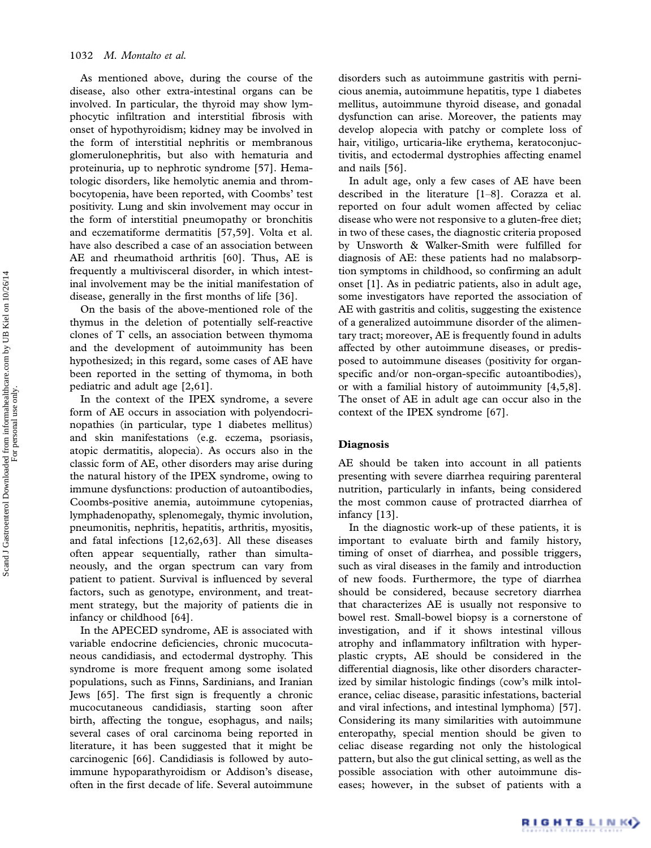As mentioned above, during the course of the disease, also other extra-intestinal organs can be involved. In particular, the thyroid may show lymphocytic infiltration and interstitial fibrosis with onset of hypothyroidism; kidney may be involved in the form of interstitial nephritis or membranous glomerulonephritis, but also with hematuria and proteinuria, up to nephrotic syndrome [57]. Hematologic disorders, like hemolytic anemia and thrombocytopenia, have been reported, with Coombs' test positivity. Lung and skin involvement may occur in the form of interstitial pneumopathy or bronchitis and eczematiforme dermatitis [57,59]. Volta et al. have also described a case of an association between AE and rheumathoid arthritis [60]. Thus, AE is frequently a multivisceral disorder, in which intestinal involvement may be the initial manifestation of disease, generally in the first months of life [36].

On the basis of the above-mentioned role of the thymus in the deletion of potentially self-reactive clones of T cells, an association between thymoma and the development of autoimmunity has been hypothesized; in this regard, some cases of AE have been reported in the setting of thymoma, in both pediatric and adult age [2,61].

In the context of the IPEX syndrome, a severe form of AE occurs in association with polyendocrinopathies (in particular, type 1 diabetes mellitus) and skin manifestations (e.g. eczema, psoriasis, atopic dermatitis, alopecia). As occurs also in the classic form of AE, other disorders may arise during the natural history of the IPEX syndrome, owing to immune dysfunctions: production of autoantibodies, Coombs-positive anemia, autoimmune cytopenias, lymphadenopathy, splenomegaly, thymic involution, pneumonitis, nephritis, hepatitis, arthritis, myositis, and fatal infections [12,62,63]. All these diseases often appear sequentially, rather than simultaneously, and the organ spectrum can vary from patient to patient. Survival is influenced by several factors, such as genotype, environment, and treatment strategy, but the majority of patients die in infancy or childhood [64].

In the APECED syndrome, AE is associated with variable endocrine deficiencies, chronic mucocutaneous candidiasis, and ectodermal dystrophy. This syndrome is more frequent among some isolated populations, such as Finns, Sardinians, and Iranian Jews [65]. The first sign is frequently a chronic mucocutaneous candidiasis, starting soon after birth, affecting the tongue, esophagus, and nails; several cases of oral carcinoma being reported in literature, it has been suggested that it might be carcinogenic [66]. Candidiasis is followed by autoimmune hypoparathyroidism or Addison's disease, often in the first decade of life. Several autoimmune

disorders such as autoimmune gastritis with pernicious anemia, autoimmune hepatitis, type 1 diabetes mellitus, autoimmune thyroid disease, and gonadal dysfunction can arise. Moreover, the patients may develop alopecia with patchy or complete loss of hair, vitiligo, urticaria-like erythema, keratoconjuctivitis, and ectodermal dystrophies affecting enamel and nails [56].

In adult age, only a few cases of AE have been described in the literature  $[1-8]$ . Corazza et al. reported on four adult women affected by celiac disease who were not responsive to a gluten-free diet; in two of these cases, the diagnostic criteria proposed by Unsworth & Walker-Smith were fulfilled for diagnosis of AE: these patients had no malabsorption symptoms in childhood, so confirming an adult onset [1]. As in pediatric patients, also in adult age, some investigators have reported the association of AE with gastritis and colitis, suggesting the existence of a generalized autoimmune disorder of the alimentary tract; moreover, AE is frequently found in adults affected by other autoimmune diseases, or predisposed to autoimmune diseases (positivity for organspecific and/or non-organ-specific autoantibodies), or with a familial history of autoimmunity [4,5,8]. The onset of AE in adult age can occur also in the context of the IPEX syndrome [67].

# Diagnosis

AE should be taken into account in all patients presenting with severe diarrhea requiring parenteral nutrition, particularly in infants, being considered the most common cause of protracted diarrhea of infancy [13].

In the diagnostic work-up of these patients, it is important to evaluate birth and family history, timing of onset of diarrhea, and possible triggers, such as viral diseases in the family and introduction of new foods. Furthermore, the type of diarrhea should be considered, because secretory diarrhea that characterizes AE is usually not responsive to bowel rest. Small-bowel biopsy is a cornerstone of investigation, and if it shows intestinal villous atrophy and inflammatory infiltration with hyperplastic crypts, AE should be considered in the differential diagnosis, like other disorders characterized by similar histologic findings (cow's milk intolerance, celiac disease, parasitic infestations, bacterial and viral infections, and intestinal lymphoma) [57]. Considering its many similarities with autoimmune enteropathy, special mention should be given to celiac disease regarding not only the histological pattern, but also the gut clinical setting, as well as the possible association with other autoimmune diseases; however, in the subset of patients with a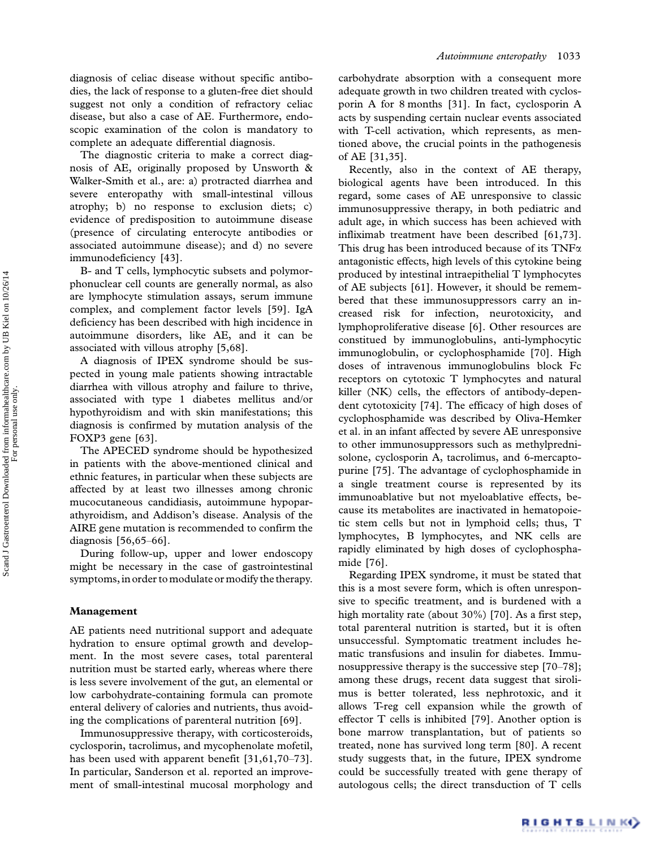diagnosis of celiac disease without specific antibodies, the lack of response to a gluten-free diet should suggest not only a condition of refractory celiac disease, but also a case of AE. Furthermore, endoscopic examination of the colon is mandatory to complete an adequate differential diagnosis.

The diagnostic criteria to make a correct diagnosis of AE, originally proposed by Unsworth & Walker-Smith et al., are: a) protracted diarrhea and severe enteropathy with small-intestinal villous atrophy; b) no response to exclusion diets; c) evidence of predisposition to autoimmune disease (presence of circulating enterocyte antibodies or associated autoimmune disease); and d) no severe immunodeficiency [43].

B- and T cells, lymphocytic subsets and polymorphonuclear cell counts are generally normal, as also are lymphocyte stimulation assays, serum immune complex, and complement factor levels [59]. IgA deficiency has been described with high incidence in autoimmune disorders, like AE, and it can be associated with villous atrophy [5,68].

A diagnosis of IPEX syndrome should be suspected in young male patients showing intractable diarrhea with villous atrophy and failure to thrive, associated with type 1 diabetes mellitus and/or hypothyroidism and with skin manifestations; this diagnosis is confirmed by mutation analysis of the FOXP3 gene [63].

The APECED syndrome should be hypothesized in patients with the above-mentioned clinical and ethnic features, in particular when these subjects are affected by at least two illnesses among chronic mucocutaneous candidiasis, autoimmune hypoparathyroidism, and Addison's disease. Analysis of the AIRE gene mutation is recommended to confirm the diagnosis  $[56, 65 - 66]$ .

During follow-up, upper and lower endoscopy might be necessary in the case of gastrointestinal symptoms, in order to modulate or modify the therapy.

#### Management

AE patients need nutritional support and adequate hydration to ensure optimal growth and development. In the most severe cases, total parenteral nutrition must be started early, whereas where there is less severe involvement of the gut, an elemental or low carbohydrate-containing formula can promote enteral delivery of calories and nutrients, thus avoiding the complications of parenteral nutrition [69].

Immunosuppressive therapy, with corticosteroids, cyclosporin, tacrolimus, and mycophenolate mofetil, has been used with apparent benefit  $[31,61,70-73]$ . In particular, Sanderson et al. reported an improvement of small-intestinal mucosal morphology and

carbohydrate absorption with a consequent more adequate growth in two children treated with cyclosporin A for 8 months [31]. In fact, cyclosporin A acts by suspending certain nuclear events associated with T-cell activation, which represents, as mentioned above, the crucial points in the pathogenesis of AE [31,35].

Recently, also in the context of AE therapy, biological agents have been introduced. In this regard, some cases of AE unresponsive to classic immunosuppressive therapy, in both pediatric and adult age, in which success has been achieved with infliximab treatment have been described [61,73]. This drug has been introduced because of its  $TNF\alpha$ antagonistic effects, high levels of this cytokine being produced by intestinal intraepithelial T lymphocytes of AE subjects [61]. However, it should be remembered that these immunosuppressors carry an increased risk for infection, neurotoxicity, and lymphoproliferative disease [6]. Other resources are constitued by immunoglobulins, anti-lymphocytic immunoglobulin, or cyclophosphamide [70]. High doses of intravenous immunoglobulins block Fc receptors on cytotoxic T lymphocytes and natural killer (NK) cells, the effectors of antibody-dependent cytotoxicity [74]. The efficacy of high doses of cyclophosphamide was described by Oliva-Hemker et al. in an infant affected by severe AE unresponsive to other immunosuppressors such as methylprednisolone, cyclosporin A, tacrolimus, and 6-mercaptopurine [75]. The advantage of cyclophosphamide in a single treatment course is represented by its immunoablative but not myeloablative effects, because its metabolites are inactivated in hematopoietic stem cells but not in lymphoid cells; thus, T lymphocytes, B lymphocytes, and NK cells are rapidly eliminated by high doses of cyclophosphamide [76].

Regarding IPEX syndrome, it must be stated that this is a most severe form, which is often unresponsive to specific treatment, and is burdened with a high mortality rate (about 30%) [70]. As a first step, total parenteral nutrition is started, but it is often unsuccessful. Symptomatic treatment includes hematic transfusions and insulin for diabetes. Immunosuppressive therapy is the successive step  $[70-78]$ ; among these drugs, recent data suggest that sirolimus is better tolerated, less nephrotoxic, and it allows T-reg cell expansion while the growth of effector T cells is inhibited [79]. Another option is bone marrow transplantation, but of patients so treated, none has survived long term [80]. A recent study suggests that, in the future, IPEX syndrome could be successfully treated with gene therapy of autologous cells; the direct transduction of T cells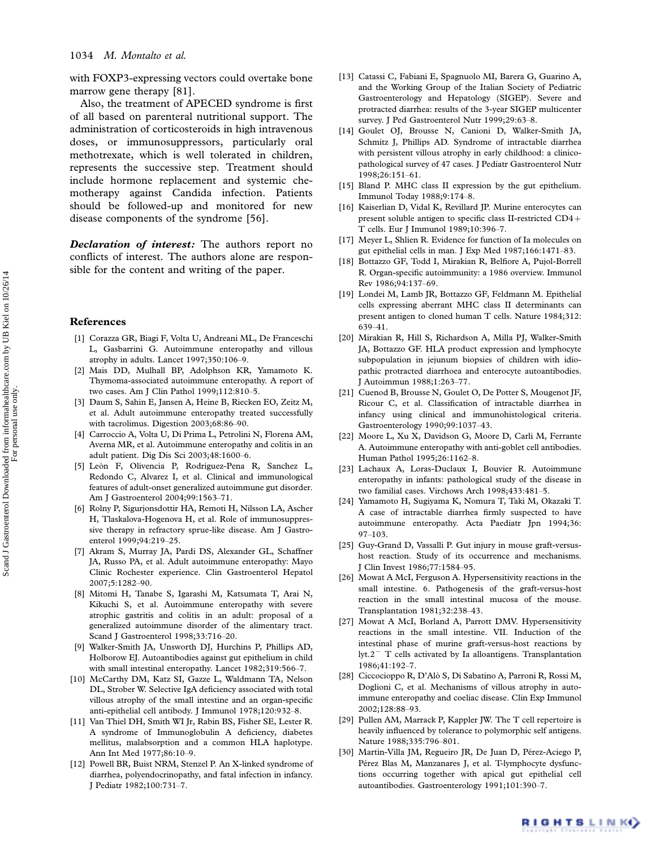with FOXP3-expressing vectors could overtake bone marrow gene therapy [81].

Also, the treatment of APECED syndrome is first of all based on parenteral nutritional support. The administration of corticosteroids in high intravenous doses, or immunosuppressors, particularly oral methotrexate, which is well tolerated in children, represents the successive step. Treatment should include hormone replacement and systemic chemotherapy against Candida infection. Patients should be followed-up and monitored for new disease components of the syndrome [56].

**Declaration of interest:** The authors report no conflicts of interest. The authors alone are responsible for the content and writing of the paper.

### References

- [1] Corazza GR, Biagi F, Volta U, Andreani ML, De Franceschi L, Gasbarrini G. Autoimmune enteropathy and villous atrophy in adults. Lancet 1997;350:106-9.
- [2] Mais DD, Mulhall BP, Adolphson KR, Yamamoto K. Thymoma-associated autoimmune enteropathy. A report of two cases. Am J Clin Pathol 1999;112:810-5.
- [3] Daum S, Sahin E, Jansen A, Heine B, Riecken EO, Zeitz M, et al. Adult autoimmune enteropathy treated successfully with tacrolimus. Digestion 2003;68:86-90.
- [4] Carroccio A, Volta U, Di Prima L, Petrolini N, Florena AM, Averna MR, et al. Autoimmune enteropathy and colitis in an adult patient. Dig Dis Sci 2003;48:1600-6.
- [5] Leòn F, Olivencia P, Rodriguez-Pena R, Sanchez L, Redondo C, Alvarez I, et al. Clinical and immunological features of adult-onset generalized autoimmune gut disorder. Am J Gastroenterol 2004;99:1563-71.
- [6] Rolny P, Sigurjonsdottir HA, Remoti H, Nilsson LA, Ascher H, Tlaskalova-Hogenova H, et al. Role of immunosuppressive therapy in refractory sprue-like disease. Am J Gastroenterol 1999;94:219-25.
- [7] Akram S, Murray JA, Pardi DS, Alexander GL, Schaffner JA, Russo PA, et al. Adult autoimmune enteropathy: Mayo Clinic Rochester experience. Clin Gastroenterol Hepatol 2007;5:128290.
- [8] Mitomi H, Tanabe S, Igarashi M, Katsumata T, Arai N, Kikuchi S, et al. Autoimmune enteropathy with severe atrophic gastritis and colitis in an adult: proposal of a generalized autoimmune disorder of the alimentary tract. Scand J Gastroenterol 1998;33:716-20.
- [9] Walker-Smith JA, Unsworth DJ, Hurchins P, Phillips AD, Holborow EJ. Autoantibodies against gut epithelium in child with small intestinal enteropathy. Lancet 1982;319:566-7.
- [10] McCarthy DM, Katz SI, Gazze L, Waldmann TA, Nelson DL, Strober W. Selective IgA deficiency associated with total villous atrophy of the small intestine and an organ-specific anti-epithelial cell antibody. J Immunol 1978;120:932-8.
- [11] Van Thiel DH, Smith WI Jr, Rabin BS, Fisher SE, Lester R. A syndrome of Immunoglobulin A deficiency, diabetes mellitus, malabsorption and a common HLA haplotype. Ann Int Med 1977;86:10-9.
- [12] Powell BR, Buist NRM, Stenzel P. An X-linked syndrome of diarrhea, polyendocrinopathy, and fatal infection in infancy. I Pediatr 1982;100:731-7.
- [13] Catassi C, Fabiani E, Spagnuolo MI, Barera G, Guarino A, and the Working Group of the Italian Society of Pediatric Gastroenterology and Hepatology (SIGEP). Severe and protracted diarrhea: results of the 3-year SIGEP multicenter survey. J Ped Gastroenterol Nutr 1999;29:63-8.
- [14] Goulet OJ, Brousse N, Canioni D, Walker-Smith JA, Schmitz J, Phillips AD. Syndrome of intractable diarrhea with persistent villous atrophy in early childhood: a clinicopathological survey of 47 cases. J Pediatr Gastroenterol Nutr 1998;26:151-61.
- [15] Bland P. MHC class II expression by the gut epithelium. Immunol Today 1988;9:174-8.
- [16] Kaiserlian D, Vidal K, Revillard IP. Murine enterocytes can present soluble antigen to specific class II-restricted CD4- T cells. Eur J Immunol 1989;10:3967.
- [17] Meyer L, Shlien R. Evidence for function of Ia molecules on gut epithelial cells in man. J Exp Med 1987;166:1471-83.
- [18] Bottazzo GF, Todd I, Mirakian R, Belfiore A, Pujol-Borrell R. Organ-specific autoimmunity: a 1986 overview. Immunol Rev 1986;94:137-69.
- [19] Londei M, Lamb JR, Bottazzo GF, Feldmann M. Epithelial cells expressing aberrant MHC class II determinants can present antigen to cloned human T cells. Nature 1984;312: 639-41.
- [20] Mirakian R, Hill S, Richardson A, Milla PJ, Walker-Smith JA, Bottazzo GF. HLA product expression and lymphocyte subpopulation in jejunum biopsies of children with idiopathic protracted diarrhoea and enterocyte autoantibodies. I Autoimmun 1988;1:263-77.
- [21] Cuenod B, Brousse N, Goulet O, De Potter S, Mougenot JF, Ricour C, et al. Classification of intractable diarrhea in infancy using clinical and immunohistological criteria. Gastroenterology 1990;99:1037-43.
- [22] Moore L, Xu X, Davidson G, Moore D, Carli M, Ferrante A. Autoimmune enteropathy with anti-goblet cell antibodies. Human Pathol 1995;26:1162-8.
- [23] Lachaux A, Loras-Duclaux I, Bouvier R. Autoimmune enteropathy in infants: pathological study of the disease in two familial cases. Virchows Arch 1998;433:481-5.
- [24] Yamamoto H, Sugiyama K, Nomura T, Taki M, Okazaki T. A case of intractable diarrhea firmly suspected to have autoimmune enteropathy. Acta Paediatr Ipn 1994;36:  $97-103$
- [25] Guy-Grand D, Vassalli P. Gut injury in mouse graft-versushost reaction. Study of its occurrence and mechanisms. J Clin Invest 1986;77:1584-95.
- [26] Mowat A McI, Ferguson A. Hypersensitivity reactions in the small intestine. 6. Pathogenesis of the graft-versus-host reaction in the small intestinal mucosa of the mouse. Transplantation 1981;32:238-43.
- [27] Mowat A McI, Borland A, Parrott DMV. Hypersensitivity reactions in the small intestine. VII. Induction of the intestinal phase of murine graft-versus-host reactions by lyt.2<sup>-</sup> T cells activated by Ia alloantigens. Transplantation 1986;41:1927.
- [28] Ciccocioppo R, D'Alo` S, Di Sabatino A, Parroni R, Rossi M, Doglioni C, et al. Mechanisms of villous atrophy in autoimmune enteropathy and coeliac disease. Clin Exp Immunol 2002;128:88-93.
- [29] Pullen AM, Marrack P, Kappler JW. The T cell repertoire is heavily influenced by tolerance to polymorphic self antigens. Nature 1988;335:796-801.
- [30] Martin-Villa JM, Regueiro JR, De Juan D, Pérez-Aciego P, Pérez Blas M, Manzanares J, et al. T-lymphocyte dysfunctions occurring together with apical gut epithelial cell autoantibodies. Gastroenterology 1991;101:390-7.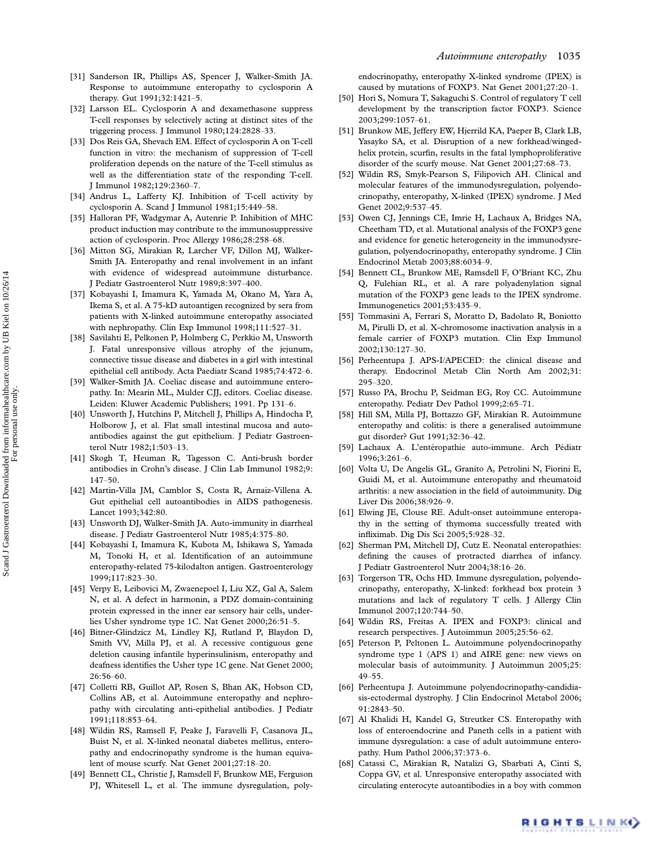- [31] Sanderson IR, Phillips AS, Spencer J, Walker-Smith JA. Response to autoimmune enteropathy to cyclosporin A therapy. Gut 1991;32:1421-5.
- [32] Larsson EL. Cyclosporin A and dexamethasone suppress T-cell responses by selectively acting at distinct sites of the triggering process. J Immunol 1980;124:2828-33.
- [33] Dos Reis GA, Shevach EM. Effect of cyclosporin A on T-cell function in vitro: the mechanism of suppression of T-cell proliferation depends on the nature of the T-cell stimulus as well as the differentiation state of the responding T-cell. J Immunol 1982;129:2360-7.
- [34] Andrus L, Lafferty KJ. Inhibition of T-cell activity by cyclosporin A. Scand J Immunol 1981;15:449-58.
- [35] Halloran PF, Wadgymar A, Autenrie P. Inhibition of MHC product induction may contribute to the immunosuppressive action of cyclosporin. Proc Allergy 1986;28:258-68.
- [36] Mitton SG, Mirakian R, Larcher VF, Dillon MJ, Walker-Smith JA. Enteropathy and renal involvement in an infant with evidence of widespread autoimmune disturbance. J Pediatr Gastroenterol Nutr 1989;8:397-400.
- [37] Kobayashi I, Imamura K, Yamada M, Okano M, Yara A, Ikema S, et al. A 75-kD autoantigen recognized by sera from patients with X-linked autoimmune enteropathy associated with nephropathy. Clin Exp Immunol  $1998;111:527-31$ .
- [38] Savilahti E, Pelkonen P, Holmberg C, Perkkio M, Unsworth J. Fatal unresponsive villous atrophy of the jejunum, connective tissue disease and diabetes in a girl with intestinal epithelial cell antibody. Acta Paediatr Scand 1985;74:472-6.
- [39] Walker-Smith JA. Coeliac disease and autoimmune enteropathy. In: Mearin ML, Mulder CJJ, editors. Coeliac disease. Leiden: Kluwer Academic Publishers; 1991. Pp 131-6.
- [40] Unsworth J, Hutchins P, Mitchell J, Phillips A, Hindocha P, Holborow J, et al. Flat small intestinal mucosa and autoantibodies against the gut epithelium. I Pediatr Gastroenterol Nutr 1982;1:503-13.
- [41] Skogh T, Heuman R, Tagesson C. Anti-brush border antibodies in Crohn's disease. J Clin Lab Immunol 1982;9: 14750.
- [42] Martin-Villa JM, Camblor S, Costa R, Arnaiz-Villena A. Gut epithelial cell autoantibodies in AIDS pathogenesis. Lancet 1993;342:80.
- [43] Unsworth DJ, Walker-Smith JA. Auto-immunity in diarrheal disease. J Pediatr Gastroenterol Nutr 1985;4:375-80.
- [44] Kobayashi I, Imamura K, Kubota M, Ishikawa S, Yamada M, Tonoki H, et al. Identification of an autoimmune enteropathy-related 75-kilodalton antigen. Gastroenterology 1999;117:823-30.
- [45] Verpy E, Leibovici M, Zwaenepoel I, Liu XZ, Gal A, Salem N, et al. A defect in harmonin, a PDZ domain-containing protein expressed in the inner ear sensory hair cells, underlies Usher syndrome type 1C. Nat Genet 2000;26:51-5.
- [46] Bitner-Glindzicz M, Lindley KJ, Rutland P, Blaydon D, Smith VV, Milla PJ, et al. A recessive contiguous gene deletion causing infantile hyperinsulinism, enteropathy and deafness identifies the Usher type 1C gene. Nat Genet 2000;  $26:56 - 60.$
- [47] Colletti RB, Guillot AP, Rosen S, Bhan AK, Hobson CD, Collins AB, et al. Autoimmune enteropathy and nephropathy with circulating anti-epithelial antibodies. J Pediatr 1991;118:853-64.
- [48] Wildin RS, Ramsell F, Peake J, Faravelli F, Casanova JL, Buist N, et al. X-linked neonatal diabetes mellitus, enteropathy and endocrinopathy syndrome is the human equivalent of mouse scurfy. Nat Genet 2001;27:18-20.
- [49] Bennett CL, Christie J, Ramsdell F, Brunkow ME, Ferguson PJ, Whitesell L, et al. The immune dysregulation, poly-

endocrinopathy, enteropathy X-linked syndrome (IPEX) is caused by mutations of FOXP3. Nat Genet 2001;27:20-1.

- [50] Hori S, Nomura T, Sakaguchi S. Control of regulatory T cell development by the transcription factor FOXP3. Science 2003;299:1057-61.
- [51] Brunkow ME, Jeffery EW, Hjerrild KA, Paeper B, Clark LB, Yasayko SA, et al. Disruption of a new forkhead/wingedhelix protein, scurfin, results in the fatal lymphoproliferative disorder of the scurfy mouse. Nat Genet 2001;27:68-73.
- [52] Wildin RS, Smyk-Pearson S, Filipovich AH. Clinical and molecular features of the immunodysregulation, polyendocrinopathy, enteropathy, X-linked (IPEX) syndrome. J Med Genet 2002;9:537-45.
- [53] Owen CJ, Jennings CE, Imrie H, Lachaux A, Bridges NA, Cheetham TD, et al. Mutational analysis of the FOXP3 gene and evidence for genetic heterogeneity in the immunodysregulation, polyendocrinopathy, enteropathy syndrome. J Clin Endocrinol Metab 2003;88:6034-9.
- [54] Bennett CL, Brunkow ME, Ramsdell F, O'Briant KC, Zhu Q, Fulehian RL, et al. A rare polyadenylation signal mutation of the FOXP3 gene leads to the IPEX syndrome. Immunogenetics 2001;53:435-9.
- [55] Tommasini A, Ferrari S, Moratto D, Badolato R, Boniotto M, Pirulli D, et al. X-chromosome inactivation analysis in a female carrier of FOXP3 mutation. Clin Exp Immunol 2002;130:127-30.
- [56] Perheentupa J. APS-I/APECED: the clinical disease and therapy. Endocrinol Metab Clin North Am 2002;31: 295-320
- [57] Russo PA, Brochu P, Seidman EG, Roy CC. Autoimmune enteropathy. Pediatr Dev Pathol 1999;2:65-71.
- [58] Hill SM, Milla PJ, Bottazzo GF, Mirakian R. Autoimmune enteropathy and colitis: is there a generalised autoimmune gut disorder? Gut 1991;32:36-42.
- [59] Lachaux A. L'entéropathie auto-immune. Arch Pédiatr 1996;3:261-6.
- [60] Volta U, De Angelis GL, Granito A, Petrolini N, Fiorini E, Guidi M, et al. Autoimmune enteropathy and rheumatoid arthritis: a new association in the field of autoimmunity. Dig Liver Dis  $2006:38:926-9$ .
- [61] Elwing JE, Clouse RE. Adult-onset autoimmune enteropathy in the setting of thymoma successfully treated with infliximab. Dig Dis Sci 2005;5:928-32.
- [62] Sherman PM, Mitchell DJ, Cutz E. Neonatal enteropathies: defining the causes of protracted diarrhea of infancy. J Pediatr Gastroenterol Nutr 2004;38:16-26.
- [63] Torgerson TR, Ochs HD. Immune dysregulation, polyendocrinopathy, enteropathy, X-linked: forkhead box protein 3 mutations and lack of regulatory T cells. J Allergy Clin Immunol 2007;120:744-50.
- [64] Wildin RS, Freitas A. IPEX and FOXP3: clinical and research perspectives. J Autoimmun 2005;25:56-62.
- [65] Peterson P, Peltonen L. Autoimmune polyendocrinopathy syndrome type 1 (APS 1) and AIRE gene: new views on molecular basis of autoimmunity. J Autoimmun 2005;25:  $49 - 55$ .
- [66] Perheentupa J. Autoimmune polyendocrinopathy-candidiasis-ectodermal dystrophy. J Clin Endocrinol Metabol 2006; 91:2843-50.
- [67] Al Khalidi H, Kandel G, Streutker CS. Enteropathy with loss of enteroendocrine and Paneth cells in a patient with immune dysregulation: a case of adult autoimmune enteropathy. Hum Pathol 2006;37:373-6.
- [68] Catassi C, Mirakian R, Natalizi G, Sbarbati A, Cinti S, Coppa GV, et al. Unresponsive enteropathy associated with circulating enterocyte autoantibodies in a boy with common